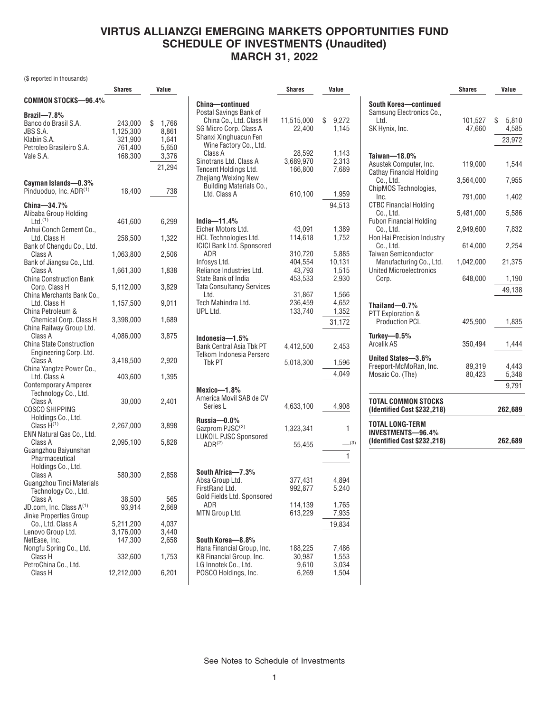# **VIRTUS ALLIANZGI EMERGING MARKETS OPPORTUNITIES FUND SCHEDULE OF INVESTMENTS (Unaudited) MARCH 31, 2022**

(\$ reported in thousands)

|                                                               | Shares               | Value                |
|---------------------------------------------------------------|----------------------|----------------------|
| COMMON STOCKS-96.4%                                           |                      |                      |
| Brazil- $7.8%$                                                |                      |                      |
| Banco do Brasil S.A.<br>JBS S.A.                              | 243,000<br>1,125,300 | \$<br>1,766<br>8,861 |
| Klabin S.A.                                                   | 321,900              | 1,641                |
| Petroleo Brasileiro S.A.                                      | 761,400              | 5,650                |
| Vale S.A.                                                     | 168,300              | 3,376                |
|                                                               |                      |                      |
|                                                               |                      | 21,294               |
| Cayman Islands-0.3%<br>Pinduoduo, Inc. ADR(1)                 | 18,400               | 738                  |
| China-34.7%<br>Alibaba Group Holding<br>$Ltd.$ <sup>(1)</sup> | 461,600              | 6,299                |
| Anhui Conch Cement Co.,<br>Ltd. Class H                       |                      | 1,322                |
| Bank of Chengdu Co., Ltd.                                     | 258,500              |                      |
| Class A<br>Bank of Jiangsu Co., Ltd.                          | 1,063,800            | 2,506                |
| Class A<br><b>China Construction Bank</b>                     | 1,661,300            | 1,838                |
| Corp. Class H                                                 | 5,112,000            | 3,829                |
| China Merchants Bank Co.,<br>Ltd. Class H                     | 1,157,500            | 9,011                |
| China Petroleum &<br>Chemical Corp. Class H                   | 3,398,000            | 1,689                |
| China Railway Group Ltd.<br>Class A                           | 4,086,000            | 3,875                |
| <b>China State Construction</b>                               |                      |                      |
| Engineering Corp. Ltd.<br>Class A                             | 3,418,500            | 2,920                |
| China Yangtze Power Co.,<br>Ltd. Class A                      | 403,600              | 1,395                |
| <b>Contemporary Amperex</b><br>Technology Co., Ltd.           |                      |                      |
| Class A                                                       | 30,000               | 2,401                |
| COSCO SHIPPING<br>Holdings Co., Ltd.                          |                      |                      |
| Class H <sup>(1)</sup><br>ENN Natural Gas Co., Ltd.           | 2,267,000            | 3,898                |
| Class A<br>Guangzhou Baiyunshan                               | 2,095,100            | 5,828                |
| Pharmaceutical<br>Holdings Co., Ltd.                          |                      |                      |
| Class A<br>Guangzhou Tinci Materials<br>Technology Co., Ltd.  | 580,300              | 2,858                |
| Class A                                                       | 38,500               | 565                  |
| JD.com, Inc. Class A(1)                                       | 93,914               | 2,669                |
| Jinke Properties Group                                        |                      |                      |
| Co., Ltd. Class A                                             | 5,211,200            | 4,037                |
| Lenovo Group Ltd.                                             | 3,176,000            | 3,440                |
| NetEase, Inc.                                                 | 147,300              | 2,658                |
| Nongfu Spring Co., Ltd.<br>Class H                            | 332,600              | 1,753                |
| PetroChina Co., Ltd.<br>Class H                               | 12,212,000           | 6,201                |

|                                                        | Shares     | Value          |
|--------------------------------------------------------|------------|----------------|
| China-continued                                        |            |                |
| Postal Savings Bank of                                 |            |                |
| China Co., Ltd. Class H                                | 11,515,000 | \$<br>9,272    |
| SG Micro Corp. Class A                                 | 22,400     | 1,145          |
| Shanxi Xinghuacun Fen                                  |            |                |
| Wine Factory Co., Ltd.                                 |            |                |
| Class A                                                | 28,592     | 1.143          |
| Sinotrans Ltd. Class A                                 | 3,689,970  | 2,313          |
| <b>Tencent Holdings Ltd.</b>                           | 166,800    | 7,689          |
|                                                        |            |                |
| Zhejiang Weixing New<br><b>Building Materials Co.,</b> |            |                |
| Ltd. Class A                                           | 610,100    |                |
|                                                        |            | 1,959          |
|                                                        |            | 94,513         |
|                                                        |            |                |
| India- $11.4\%$                                        |            |                |
| Eicher Motors Ltd.                                     | 43,091     | 1,389          |
| <b>HCL Technologies Ltd.</b>                           | 114,618    | 1,752          |
| <b>ICICI Bank Ltd. Sponsored</b>                       |            |                |
| ADR                                                    | 310,720    | 5,885          |
| Infosys Ltd.                                           | 404,554    | 10,131         |
| Reliance Industries Ltd.                               | 43,793     | 1,515          |
| State Bank of India                                    | 453.533    | 2,930          |
| <b>Tata Consultancy Services</b>                       |            |                |
| Ltd.                                                   | 31.867     | 1,566          |
| Tech Mahindra Ltd.                                     | 236,459    | 4,652          |
| UPL Ltd.                                               | 133,740    | 1,352          |
|                                                        |            | 31,172         |
|                                                        |            |                |
| Indonesia—1.5%                                         |            |                |
| Bank Central Asia Tbk PT                               | 4,412,500  | 2,453          |
| Telkom Indonesia Persero                               |            |                |
| Tbk PT                                                 | 5,018,300  | 1,596          |
|                                                        |            |                |
|                                                        |            | 4,049          |
|                                                        |            |                |
| Mexico—1.8%<br>America Movil SAB de CV                 |            |                |
|                                                        |            |                |
| Series L                                               | 4,633,100  | 4,908          |
| Russia—0.0%                                            |            |                |
| Gazprom PJSC <sup>(2)</sup>                            | 1,323,341  | 1              |
| <b>LUKOIL PJSC Sponsored</b>                           |            |                |
| $ADR^{(2)}$                                            | 55,455     | (3)            |
|                                                        |            |                |
|                                                        |            | 1              |
| South Africa-7.3%                                      |            |                |
| Absa Group Ltd.                                        | 377,431    |                |
| FirstRand Ltd.                                         | 992,877    | 4,894<br>5,240 |
| Gold Fields Ltd. Sponsored                             |            |                |
|                                                        | 114,139    | 1,765          |
| ADR<br>MTN Group Ltd.                                  | 613,229    |                |
|                                                        |            | 7,935          |
|                                                        |            | 19,834         |
|                                                        |            |                |
| South Korea—8.8%                                       |            |                |
| Hana Financial Group, Inc.                             | 188,225    | 7,486          |
| KB Financial Group, Inc.                               | 30,987     | 1,553          |
| LG Innotek Co., Ltd.                                   | 9,610      | 3,034          |
| POSCO Holdings, Inc.                                   | 6,269      | 1,504          |
|                                                        |            |                |

|                                                                                          | <b>Shares</b>     | Value                          |
|------------------------------------------------------------------------------------------|-------------------|--------------------------------|
| South Korea-continued<br>Samsung Electronics Co.,<br>. ht I<br>SK Hynix, Inc.            | 101,527<br>47,660 | \$<br>5,810<br>4,585<br>23,972 |
| Taiwan-18.0%<br>Asustek Computer, Inc.                                                   | 119,000           | 1,544                          |
| <b>Cathay Financial Holding</b><br>Co., Ltd.                                             | 3,564,000         | 7,955                          |
| ChipMOS Technologies,<br>Inc.                                                            | 791,000           | 1,402                          |
| <b>CTBC Financial Holding</b><br>Co., Ltd.                                               | 5,481,000         | 5,586                          |
| <b>Fubon Financial Holding</b><br>Co., Ltd.                                              | 2,949,600         | 7,832                          |
| Hon Hai Precision Industry<br>Co., Ltd.                                                  | 614,000           | 2,254                          |
| <b>Taiwan Semiconductor</b><br>Manufacturing Co., Ltd.<br><b>United Microelectronics</b> | 1,042,000         | 21,375                         |
| Corp.                                                                                    | 648,000           | 1,190<br>49,138                |
| Thailand $-0.7%$<br>PTT Exploration &<br><b>Production PCL</b>                           | 425,900           | 1,835                          |
| Turkey- $0.5\%$<br><b>Arcelik AS</b>                                                     | 350,494           | 1,444                          |
| United States-3.6%<br>Freeport-McMoRan, Inc.<br>Mosaic Co. (The)                         | 89,319<br>80,423  | 4.443<br>5,348<br>9,791        |
| TOTAL COMMON STOCKS<br>(Identified Cost \$232,218)                                       |                   | 262,689                        |
| TOTAL LONG-TERM<br><b>INVESTMENTS-96.4%</b><br>(Identified Cost \$232,218)               |                   | 262,689                        |

See Notes to Schedule of Investments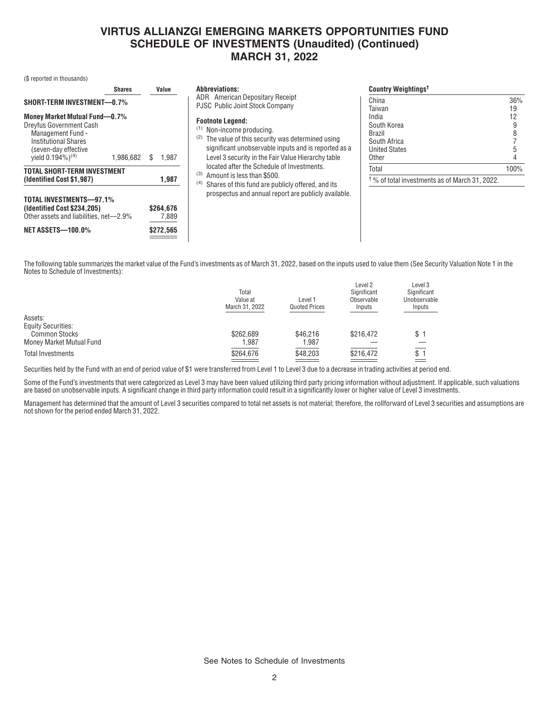### **VIRTUS ALLIANZGI EMERGING MARKETS OPPORTUNITIES FUND SCHEDULE OF INVESTMENTS (Unaudited) (Continued) MARCH 31, 2022**

(\$ reported in thousands)

|                                                                                                                              | <b>Shares</b> | Value                           | <b>Country Weightings<sup>t</sup></b><br><b>Abbreviations:</b>                                                                                                                                                                                                                |                 |
|------------------------------------------------------------------------------------------------------------------------------|---------------|---------------------------------|-------------------------------------------------------------------------------------------------------------------------------------------------------------------------------------------------------------------------------------------------------------------------------|-----------------|
| <b>SHORT-TERM INVESTMENT-0.7%</b><br>Money Market Mutual Fund-0.7%<br>Dreyfus Government Cash                                |               |                                 | ADR American Depositary Receipt<br>China<br><b>PJSC Public Joint Stock Company</b><br>Taiwan<br>India<br><b>Footnote Legend:</b><br>South Korea<br>$(1)$ Non-income producing.                                                                                                | 36%<br>19<br>12 |
| Management Fund -<br><b>Institutional Shares</b><br>(seven-day effective<br>vield $0.194\%$ <sup>(4)</sup>                   | 1.986.682     | 1.987<br>S                      | Brazil<br>The value of this security was determined using<br>(2)<br>South Africa<br>significant unobservable inputs and is reported as a<br><b>United States</b><br>Level 3 security in the Fair Value Hierarchy table<br>Other<br>located after the Schedule of Investments. |                 |
| TOTAL SHORT-TERM INVESTMENT<br>(Identified Cost \$1,987)                                                                     |               | 1,987                           | Total<br>Amount is less than \$500.<br>(3)<br>$^\dagger$ % of total investments as of March 31, 2022.<br>Shares of this fund are publicly offered, and its<br>(4)                                                                                                             | 100%            |
| TOTAL INVESTMENTS-97.1%<br>(Identified Cost \$234,205)<br>Other assets and liabilities, net-2.9%<br><b>NET ASSETS-100.0%</b> |               | \$264.676<br>7,889<br>\$272,565 | prospectus and annual report are publicly available.                                                                                                                                                                                                                          |                 |
|                                                                                                                              |               |                                 |                                                                                                                                                                                                                                                                               |                 |

The following table summarizes the market value of the Fund's investments as of March 31, 2022, based on the inputs used to value them (See Security Valuation Note 1 in the Notes to Schedule of Investments):

|                           | Total<br>Value at<br>March 31, 2022 | Level 1<br><b>Quoted Prices</b> | Level 2<br>Significant<br>Observable<br>Inputs | Level 3<br>Significant<br>Unobservable<br>Inputs |
|---------------------------|-------------------------------------|---------------------------------|------------------------------------------------|--------------------------------------------------|
| Assets:                   |                                     |                                 |                                                |                                                  |
| <b>Equity Securities:</b> |                                     |                                 |                                                |                                                  |
| <b>Common Stocks</b>      | \$262.689                           | \$46,216                        | \$216.472                                      | \$                                               |
| Money Market Mutual Fund  | .987                                | 1,987                           |                                                |                                                  |
| <b>Total Investments</b>  | \$264,676                           | \$48,203                        | \$216,472                                      | \$                                               |
|                           |                                     |                                 |                                                |                                                  |

Securities held by the Fund with an end of period value of \$1 were transferred from Level 1 to Level 3 due to a decrease in trading activities at period end.

Some of the Fund's investments that were categorized as Level 3 may have been valued utilizing third party pricing information without adjustment. If applicable, such valuations are based on unobservable inputs. A significant change in third party information could result in a significantly lower or higher value of Level 3 investments.

Management has determined that the amount of Level 3 securities compared to total net assets is not material; therefore, the rollforward of Level 3 securities and assumptions are not shown for the period ended March 31, 2022.